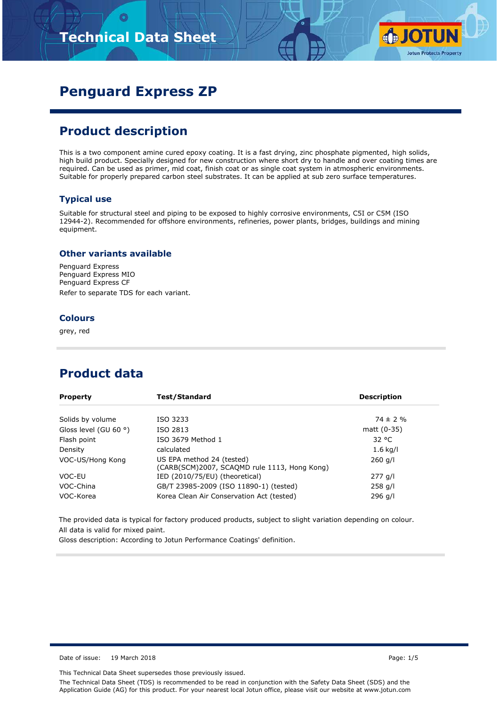# **Technical Data Sheet**



# **Penguard Express ZP**

## **Product description**

This is a two component amine cured epoxy coating. It is a fast drying, zinc phosphate pigmented, high solids, high build product. Specially designed for new construction where short dry to handle and over coating times are required. Can be used as primer, mid coat, finish coat or as single coat system in atmospheric environments. Suitable for properly prepared carbon steel substrates. It can be applied at sub zero surface temperatures.

#### **Typical use**

Suitable for structural steel and piping to be exposed to highly corrosive environments, C5I or C5M (ISO 12944-2). Recommended for offshore environments, refineries, power plants, bridges, buildings and mining equipment.

#### **Other variants available**

Penguard Express Penguard Express MIO Penguard Express CF Refer to separate TDS for each variant.

#### **Colours**

grey, red

### **Product data**

| <b>Property</b>                | Test/Standard                                                             | <b>Description</b> |  |  |
|--------------------------------|---------------------------------------------------------------------------|--------------------|--|--|
| Solids by volume               | ISO 3233                                                                  | $74 \pm 2\%$       |  |  |
| Gloss level (GU 60 $\degree$ ) | ISO 2813                                                                  | matt (0-35)        |  |  |
| Flash point                    | ISO 3679 Method 1                                                         | 32 °C              |  |  |
| Density                        | calculated                                                                | $1.6$ kg/l         |  |  |
| VOC-US/Hong Kong               | US EPA method 24 (tested)<br>(CARB(SCM)2007, SCAQMD rule 1113, Hong Kong) | $260$ g/l          |  |  |
| VOC-EU                         | IED (2010/75/EU) (theoretical)                                            | $277$ g/l          |  |  |
| VOC-China                      | GB/T 23985-2009 (ISO 11890-1) (tested)                                    | $258$ g/l          |  |  |
| VOC-Korea                      | Korea Clean Air Conservation Act (tested)                                 | 296 g/l            |  |  |

The provided data is typical for factory produced products, subject to slight variation depending on colour. All data is valid for mixed paint.

Gloss description: According to Jotun Performance Coatings' definition.

Date of issue: 19 March 2018 **Page: 1/5** 

This Technical Data Sheet supersedes those previously issued.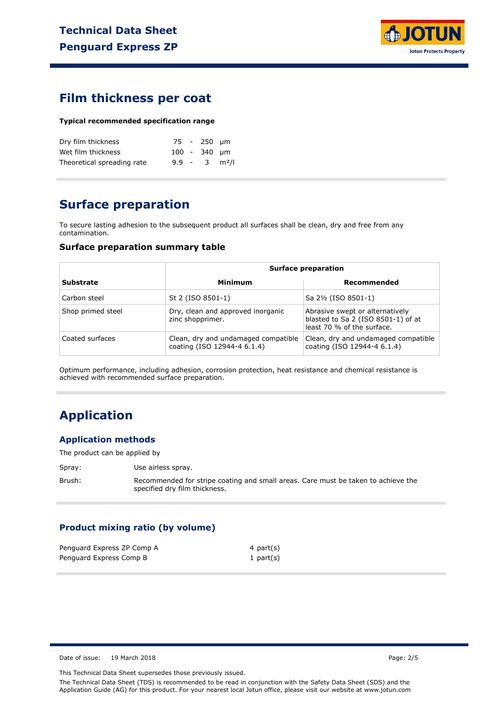

### **Film thickness per coat**

#### **Typical recommended specification range**

| Dry film thickness         |  | 75 - 250 um    |                             |
|----------------------------|--|----------------|-----------------------------|
| Wet film thickness         |  | $100 - 340$ um |                             |
| Theoretical spreading rate |  |                | $9.9 - 3$ m <sup>2</sup> /l |

# **Surface preparation**

To secure lasting adhesion to the subsequent product all surfaces shall be clean, dry and free from any contamination.

#### **Surface preparation summary table**

|                   |                                                                    | <b>Surface preparation</b>                                                                          |  |  |
|-------------------|--------------------------------------------------------------------|-----------------------------------------------------------------------------------------------------|--|--|
| <b>Substrate</b>  | Minimum                                                            | Recommended                                                                                         |  |  |
| Carbon steel      | St 2 (ISO 8501-1)                                                  | Sa 2½ (ISO 8501-1)                                                                                  |  |  |
| Shop primed steel | Dry, clean and approved inorganic<br>zinc shopprimer.              | Abrasive swept or alternatively<br>blasted to Sa 2 (ISO 8501-1) of at<br>least 70 % of the surface. |  |  |
| Coated surfaces   | Clean, dry and undamaged compatible<br>coating (ISO 12944-4 6.1.4) | Clean, dry and undamaged compatible<br>coating (ISO 12944-4 6.1.4)                                  |  |  |

Optimum performance, including adhesion, corrosion protection, heat resistance and chemical resistance is achieved with recommended surface preparation.

## **Application**

#### **Application methods**

The product can be applied by

Spray: Use airless spray.

Brush: Recommended for stripe coating and small areas. Care must be taken to achieve the specified dry film thickness.

#### **Product mixing ratio (by volume)**

| Penguard Express ZP Comp A | 4 part(s)    |
|----------------------------|--------------|
| Penguard Express Comp B    | 1 part $(s)$ |

Date of issue: 19 March 2018 **Page: 2/5** Page: 2/5

This Technical Data Sheet supersedes those previously issued.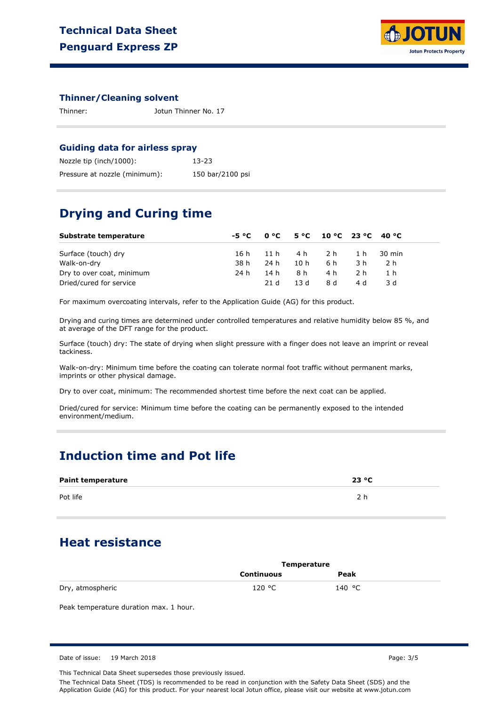

#### **Thinner/Cleaning solvent**

Thinner: Jotun Thinner No. 17

#### **Guiding data for airless spray**

| Nozzle tip (inch/1000):       | $13 - 23$        |
|-------------------------------|------------------|
| Pressure at nozzle (minimum): | 150 bar/2100 psi |

## **Drying and Curing time**

| Substrate temperature     |      |        |      | $-5 °C$ 0 °C 5 °C 10 °C 23 °C 40 °C |     |            |  |
|---------------------------|------|--------|------|-------------------------------------|-----|------------|--|
| Surface (touch) dry       | 16 h |        |      | 11h 4h 2h                           |     | 1 h 30 min |  |
| Walk-on-dry               | 38 h | - 24 h | 10 h | 6 h                                 | 3 h | 2 h        |  |
| Dry to over coat, minimum | 24 h | 14 h   | 8 h  | 4 h                                 | 2 h |            |  |
| Dried/cured for service   |      | 21 d   | 13 d | 8 d                                 | 4 d | 3 d        |  |

For maximum overcoating intervals, refer to the Application Guide (AG) for this product.

Drying and curing times are determined under controlled temperatures and relative humidity below 85 %, and at average of the DFT range for the product.

Surface (touch) dry: The state of drying when slight pressure with a finger does not leave an imprint or reveal tackiness.

Walk-on-dry: Minimum time before the coating can tolerate normal foot traffic without permanent marks, imprints or other physical damage.

Dry to over coat, minimum: The recommended shortest time before the next coat can be applied.

Dried/cured for service: Minimum time before the coating can be permanently exposed to the intended environment/medium.

### **Induction time and Pot life**

| <b>Paint temperature</b> | 23 °C |
|--------------------------|-------|
| Pot life                 |       |

## **Heat resistance**

|                  | Temperature |        |  |
|------------------|-------------|--------|--|
|                  | Continuous  | Peak   |  |
| Dry, atmospheric | 120 °C      | 140 °C |  |

Peak temperature duration max. 1 hour.

Date of issue: 19 March 2018 **Page: 3/5** Page: 3/5

This Technical Data Sheet supersedes those previously issued.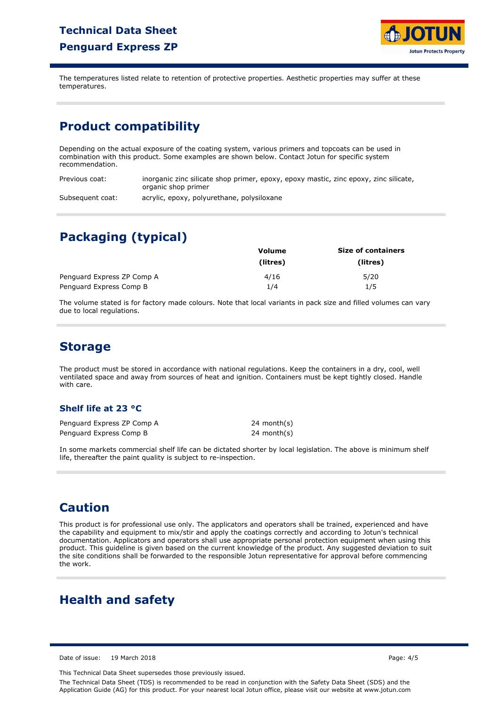## **Technical Data Sheet Penguard Express ZP**



The temperatures listed relate to retention of protective properties. Aesthetic properties may suffer at these temperatures.

## **Product compatibility**

Depending on the actual exposure of the coating system, various primers and topcoats can be used in combination with this product. Some examples are shown below. Contact Jotun for specific system recommendation.

Previous coat: Subsequent coat: inorganic zinc silicate shop primer, epoxy, epoxy mastic, zinc epoxy, zinc silicate, organic shop primer acrylic, epoxy, polyurethane, polysiloxane

# **Packaging (typical)**

|                            | Volume   | <b>Size of containers</b> |  |  |
|----------------------------|----------|---------------------------|--|--|
|                            | (litres) | (litres)                  |  |  |
| Penguard Express ZP Comp A | 4/16     | 5/20                      |  |  |
| Penguard Express Comp B    | 1/4      | 1/5                       |  |  |

The volume stated is for factory made colours. Note that local variants in pack size and filled volumes can vary due to local regulations.

## **Storage**

The product must be stored in accordance with national regulations. Keep the containers in a dry, cool, well ventilated space and away from sources of heat and ignition. Containers must be kept tightly closed. Handle with care.

#### **Shelf life at 23 °C**

Penguard Express ZP Comp A Penguard Express Comp B

24 month(s) 24 month(s)

In some markets commercial shelf life can be dictated shorter by local legislation. The above is minimum shelf life, thereafter the paint quality is subject to re-inspection.

### **Caution**

This product is for professional use only. The applicators and operators shall be trained, experienced and have the capability and equipment to mix/stir and apply the coatings correctly and according to Jotun's technical documentation. Applicators and operators shall use appropriate personal protection equipment when using this product. This guideline is given based on the current knowledge of the product. Any suggested deviation to suit the site conditions shall be forwarded to the responsible Jotun representative for approval before commencing the work.

## **Health and safety**

Date of issue: 19 March 2018 Page: 4/5

This Technical Data Sheet supersedes those previously issued.